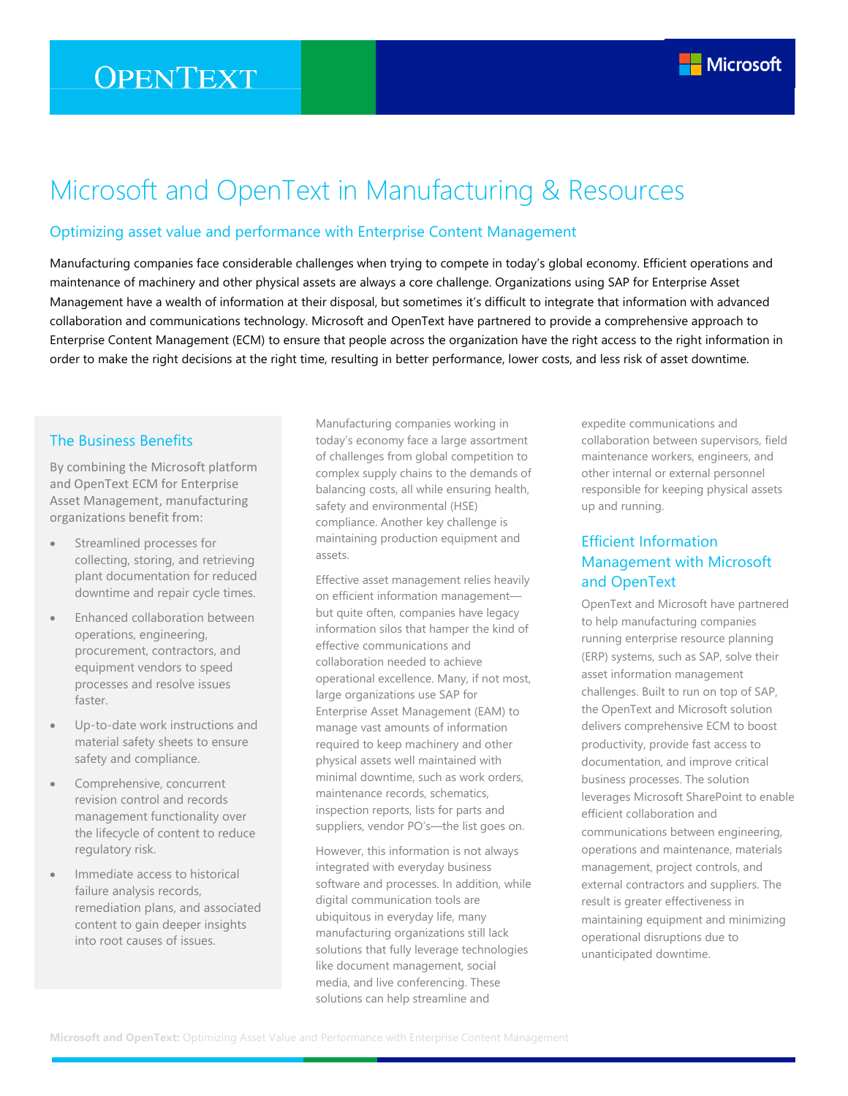# **OPENTEXT**



## Microsoft and OpenText in Manufacturing & Resources

#### Optimizing asset value and performance with Enterprise Content Management

Manufacturing companies face considerable challenges when trying to compete in today's global economy. Efficient operations and maintenance of machinery and other physical assets are always a core challenge. Organizations using SAP for Enterprise Asset Management have a wealth of information at their disposal, but sometimes it's difficult to integrate that information with advanced collaboration and communications technology. Microsoft and OpenText have partnered to provide a comprehensive approach to Enterprise Content Management (ECM) to ensure that people across the organization have the right access to the right information in order to make the right decisions at the right time, resulting in better performance, lower costs, and less risk of asset downtime.

#### The Business Benefits

By combining the Microsoft platform and OpenText ECM for Enterprise Asset Management, manufacturing organizations benefit from:

- Streamlined processes for collecting, storing, and retrieving plant documentation for reduced downtime and repair cycle times.
- Enhanced collaboration between operations, engineering, procurement, contractors, and equipment vendors to speed processes and resolve issues faster.
- Up-to-date work instructions and material safety sheets to ensure safety and compliance.
- Comprehensive, concurrent revision control and records management functionality over the lifecycle of content to reduce regulatory risk.
- Immediate access to historical failure analysis records, remediation plans, and associated content to gain deeper insights into root causes of issues.

Manufacturing companies working in today's economy face a large assortment of challenges from global competition to complex supply chains to the demands of balancing costs, all while ensuring health, safety and environmental (HSE) compliance. Another key challenge is maintaining production equipment and assets.

Effective asset management relies heavily on efficient information management but quite often, companies have legacy information silos that hamper the kind of effective communications and collaboration needed to achieve operational excellence. Many, if not most, large organizations use SAP for Enterprise Asset Management (EAM) to manage vast amounts of information required to keep machinery and other physical assets well maintained with minimal downtime, such as work orders, maintenance records, schematics, inspection reports, lists for parts and suppliers, vendor PO's—the list goes on.

However, this information is not always integrated with everyday business software and processes. In addition, while digital communication tools are ubiquitous in everyday life, many manufacturing organizations still lack solutions that fully leverage technologies like document management, social media, and live conferencing. These solutions can help streamline and

expedite communications and collaboration between supervisors, field maintenance workers, engineers, and other internal or external personnel responsible for keeping physical assets up and running.

## Efficient Information Management with Microsoft and OpenText

OpenText and Microsoft have partnered to help manufacturing companies running enterprise resource planning (ERP) systems, such as SAP, solve their asset information management challenges. Built to run on top of SAP, the OpenText and Microsoft solution delivers comprehensive ECM to boost productivity, provide fast access to documentation, and improve critical business processes. The solution leverages Microsoft SharePoint to enable efficient collaboration and communications between engineering, operations and maintenance, materials management, project controls, and external contractors and suppliers. The result is greater effectiveness in maintaining equipment and minimizing operational disruptions due to unanticipated downtime.